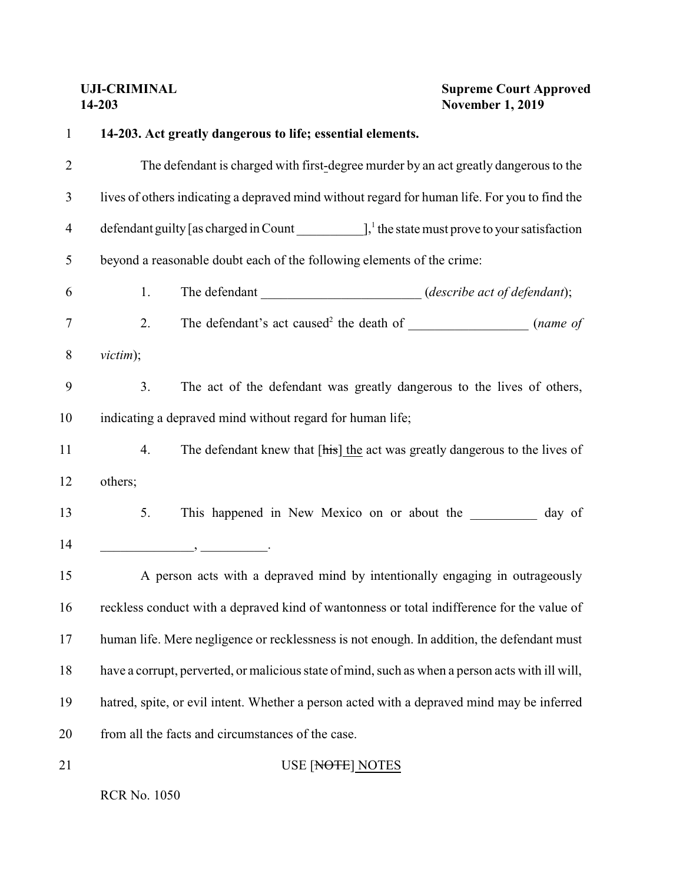| $\mathbf{1}$   | 14-203. Act greatly dangerous to life; essential elements.                                       |
|----------------|--------------------------------------------------------------------------------------------------|
| $\overline{2}$ | The defendant is charged with first-degree murder by an act greatly dangerous to the             |
| $\mathfrak{Z}$ | lives of others indicating a depraved mind without regard for human life. For you to find the    |
| $\overline{4}$ | defendant guilty [as charged in Count $\_\_\_\_$ , the state must prove to your satisfaction     |
| 5              | beyond a reasonable doubt each of the following elements of the crime:                           |
| 6              | The defendant ___________________________(describe act of defendant);<br>1.                      |
| $\tau$         | The defendant's act caused <sup>2</sup> the death of _______________________ (name of<br>2.      |
| $8\,$          | victim);                                                                                         |
| 9              | 3.<br>The act of the defendant was greatly dangerous to the lives of others,                     |
| 10             | indicating a depraved mind without regard for human life;                                        |
| 11             | The defendant knew that [his] the act was greatly dangerous to the lives of<br>4.                |
| 12             | others;                                                                                          |
| 13             | 5.<br>This happened in New Mexico on or about the ___________ day of                             |
| 14             |                                                                                                  |
| 15             | A person acts with a depraved mind by intentionally engaging in outrageously                     |
| 16             | reckless conduct with a depraved kind of wantonness or total indifference for the value of       |
| 17             | human life. Mere negligence or recklessness is not enough. In addition, the defendant must       |
| 18             | have a corrupt, perverted, or malicious state of mind, such as when a person acts with ill will, |
| 19             | hatred, spite, or evil intent. Whether a person acted with a depraved mind may be inferred       |
| 20             | from all the facts and circumstances of the case.                                                |
| 21             | USE [NOTE] NOTES                                                                                 |

RCR No. 1050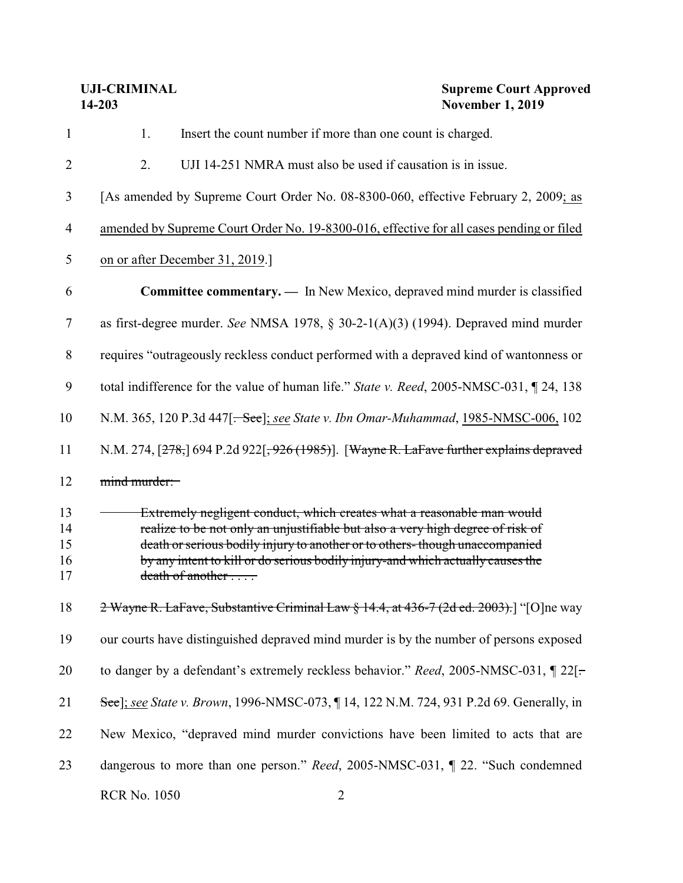| $\mathbf{1}$               | Insert the count number if more than one count is charged.<br>1.                                                                                                                                                                                                                                                                               |
|----------------------------|------------------------------------------------------------------------------------------------------------------------------------------------------------------------------------------------------------------------------------------------------------------------------------------------------------------------------------------------|
| $\overline{2}$             | 2.<br>UJI 14-251 NMRA must also be used if causation is in issue.                                                                                                                                                                                                                                                                              |
| 3                          | [As amended by Supreme Court Order No. 08-8300-060, effective February 2, 2009; as                                                                                                                                                                                                                                                             |
| $\overline{4}$             | amended by Supreme Court Order No. 19-8300-016, effective for all cases pending or filed                                                                                                                                                                                                                                                       |
| 5                          | on or after December 31, 2019.]                                                                                                                                                                                                                                                                                                                |
| 6                          | <b>Committee commentary.</b> — In New Mexico, depraved mind murder is classified                                                                                                                                                                                                                                                               |
| $\tau$                     | as first-degree murder. See NMSA 1978, § 30-2-1(A)(3) (1994). Depraved mind murder                                                                                                                                                                                                                                                             |
| 8                          | requires "outrageously reckless conduct performed with a depraved kind of wantonness or                                                                                                                                                                                                                                                        |
| 9                          | total indifference for the value of human life." State v. Reed, 2005-NMSC-031, 124, 138                                                                                                                                                                                                                                                        |
| 10                         | N.M. 365, 120 P.3d 447[ <del>. See</del> ]; see State v. Ibn Omar-Muhammad, 1985-NMSC-006, 102                                                                                                                                                                                                                                                 |
| 11                         | N.M. 274, [278,] 694 P.2d 922[ <del>, 926 (1985)</del> ]. [Wayne R. LaFave further explains depraved                                                                                                                                                                                                                                           |
| 12                         | mind murder:                                                                                                                                                                                                                                                                                                                                   |
| 13<br>14<br>15<br>16<br>17 | Extremely negligent conduct, which creates what a reasonable man would<br>realize to be not only an unjustifiable but also a very high degree of risk of<br>death or serious bodily injury to another or to others-though unaccompanied<br>by any intent to kill or do serious bodily injury-and which actually causes the<br>death of another |
| 18                         | 2 Wayne R. LaFave, Substantive Criminal Law § 14.4, at 436-7 (2d ed. 2003).] "[O]ne way                                                                                                                                                                                                                                                        |
| 19                         | our courts have distinguished depraved mind murder is by the number of persons exposed                                                                                                                                                                                                                                                         |
| 20                         | to danger by a defendant's extremely reckless behavior." Reed, 2005-NMSC-031, 122[-                                                                                                                                                                                                                                                            |
| 21                         | See]; see State v. Brown, 1996-NMSC-073, 14, 122 N.M. 724, 931 P.2d 69. Generally, in                                                                                                                                                                                                                                                          |
| 22                         | New Mexico, "depraved mind murder convictions have been limited to acts that are                                                                                                                                                                                                                                                               |
| 23                         | dangerous to more than one person." Reed, 2005-NMSC-031, ¶ 22. "Such condemned                                                                                                                                                                                                                                                                 |

RCR No. 1050 2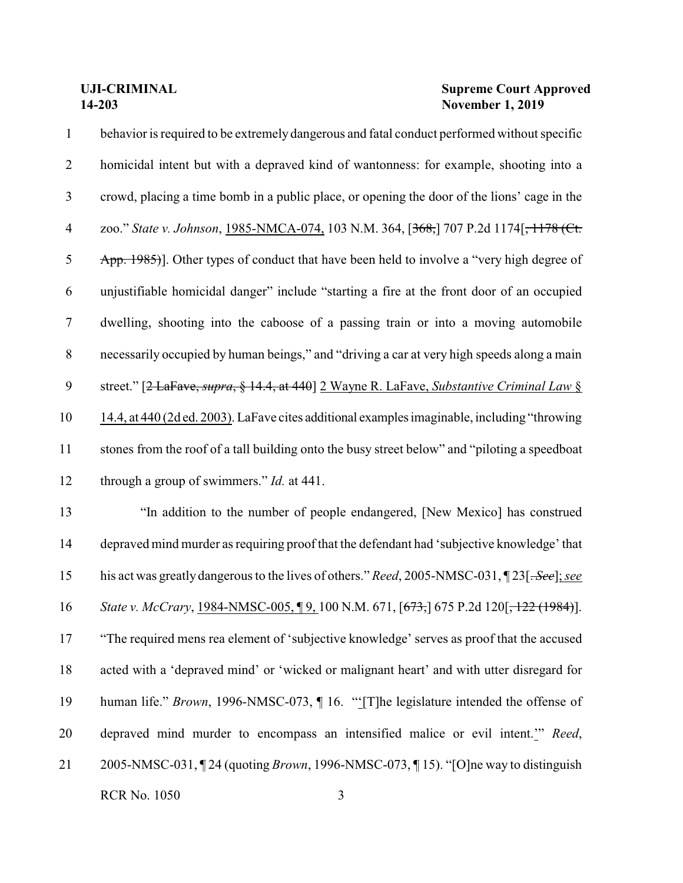| $\mathbf{1}$   | behavior is required to be extremely dangerous and fatal conduct performed without specific           |
|----------------|-------------------------------------------------------------------------------------------------------|
| $\overline{2}$ | homicidal intent but with a depraved kind of wantonness: for example, shooting into a                 |
| 3              | crowd, placing a time bomb in a public place, or opening the door of the lions' cage in the           |
| $\overline{4}$ | zoo." State v. Johnson, 1985-NMCA-074, 103 N.M. 364, [368,] 707 P.2d 1174[, 1178 (Ct.                 |
| 5              | App. 1985). Other types of conduct that have been held to involve a "very high degree of              |
| 6              | unjustifiable homicidal danger" include "starting a fire at the front door of an occupied             |
| $\tau$         | dwelling, shooting into the caboose of a passing train or into a moving automobile                    |
| 8              | necessarily occupied by human beings," and "driving a car at very high speeds along a main            |
| 9              | street." [ <del>2 LaFave, supra, § 14.4, at 440</del> ] 2 Wayne R. LaFave, Substantive Criminal Law § |
| 10             | 14.4, at 440 (2d ed. 2003). LaFave cites additional examples imaginable, including "throwing          |
| 11             | stones from the roof of a tall building onto the busy street below" and "piloting a speedboat         |
| 12             | through a group of swimmers." <i>Id.</i> at 441.                                                      |
| 13             | "In addition to the number of people endangered, [New Mexico] has construed                           |
|                |                                                                                                       |

 depraved mind murder as requiring proof that the defendant had 'subjective knowledge' that his act was greatly dangerous to the lives of others." *Reed*, 2005-NMSC-031, ¶ 23[. *See*]; *see State v. McCrary*, 1984-NMSC-005, ¶ 9, 100 N.M. 671, [<del>673,</del>] 675 P.2d 120[<del>, 122 (1984)</del>]. "The required mens rea element of 'subjective knowledge' serves as proof that the accused acted with a 'depraved mind' or 'wicked or malignant heart' and with utter disregard for 19 human life." *Brown*, 1996-NMSC-073, ¶ 16. "[T]he legislature intended the offense of depraved mind murder to encompass an intensified malice or evil intent.'" *Reed*, 2005-NMSC-031, ¶ 24 (quoting *Brown*, 1996-NMSC-073, ¶ 15). "[O]ne way to distinguish RCR No. 1050 3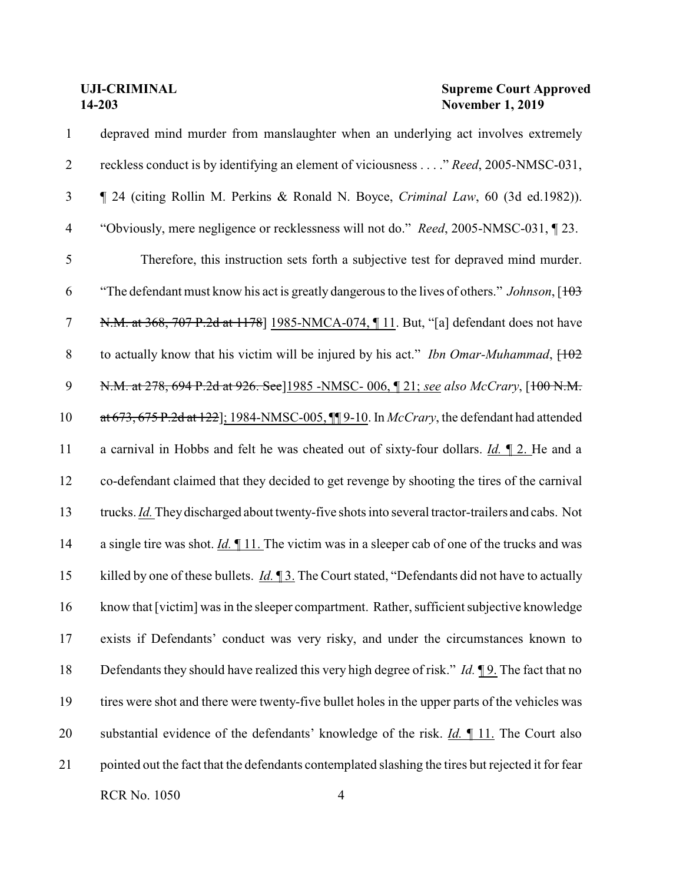| $\mathbf{1}$   | depraved mind murder from manslaughter when an underlying act involves extremely                                 |
|----------------|------------------------------------------------------------------------------------------------------------------|
| $\overline{2}$ | reckless conduct is by identifying an element of viciousness" Reed, 2005-NMSC-031,                               |
| $\mathfrak{Z}$ | 1 24 (citing Rollin M. Perkins & Ronald N. Boyce, Criminal Law, 60 (3d ed.1982)).                                |
| $\overline{4}$ | "Obviously, mere negligence or recklessness will not do." <i>Reed</i> , 2005-NMSC-031, 123.                      |
| 5              | Therefore, this instruction sets forth a subjective test for depraved mind murder.                               |
| 6              | "The defendant must know his act is greatly dangerous to the lives of others." <i>Johnson</i> , [103]            |
| 7              | N.M. at 368, 707 P.2d at 1178] 1985-NMCA-074, 11. But, "[a] defendant does not have                              |
| $8\,$          | to actually know that his victim will be injured by his act." Ibn Omar-Muhammad, $H\theta$ ?                     |
| 9              | N.M. at 278, 694 P.2d at 926. See 1985 -NMSC-006, 1 21; see also McCrary, [100 N.M.                              |
| 10             | at 673, 675 P.2d at 122]; 1984-NMSC-005, II 9-10. In <i>McCrary</i> , the defendant had attended                 |
| 11             | a carnival in Hobbs and felt he was cheated out of sixty-four dollars. <i>Id.</i> $\mathbb{I}$ 2. He and a       |
| 12             | co-defendant claimed that they decided to get revenge by shooting the tires of the carnival                      |
| 13             | trucks. Id. They discharged about twenty-five shots into several tractor-trailers and cabs. Not                  |
| 14             | a single tire was shot. $Id. \P 11$ . The victim was in a sleeper cab of one of the trucks and was               |
| 15             | killed by one of these bullets. $\underline{Id}$ . The Court stated, "Defendants did not have to actually        |
| 16             | know that [victim] was in the sleeper compartment. Rather, sufficient subjective knowledge                       |
| 17             | exists if Defendants' conduct was very risky, and under the circumstances known to                               |
| 18             | Defendants they should have realized this very high degree of risk." <i>Id.</i> $\mathbb{I}9$ . The fact that no |
| 19             | tires were shot and there were twenty-five bullet holes in the upper parts of the vehicles was                   |
| 20             | substantial evidence of the defendants' knowledge of the risk. <i>Id.</i> $\P$ 11. The Court also                |
| 21             | pointed out the fact that the defendants contemplated slashing the tires but rejected it for fear                |
|                | <b>RCR No. 1050</b><br>$\overline{4}$                                                                            |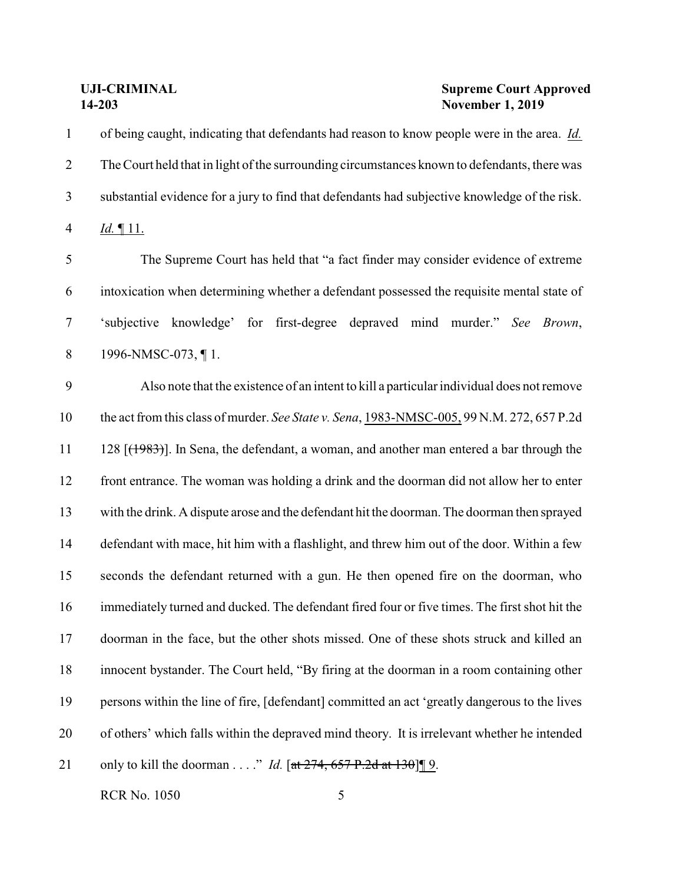| $\mathbf{1}$   | of being caught, indicating that defendants had reason to know people were in the area. <i>Id.</i> |
|----------------|----------------------------------------------------------------------------------------------------|
| $\overline{2}$ | The Court held that in light of the surrounding circumstances known to defendants, there was       |
| 3              | substantial evidence for a jury to find that defendants had subjective knowledge of the risk.      |
| $\overline{4}$ | <u>Id. ¶ 11.</u>                                                                                   |
| 5              | The Supreme Court has held that "a fact finder may consider evidence of extreme                    |
| 6              | intoxication when determining whether a defendant possessed the requisite mental state of          |
| $\tau$         | 'subjective<br>knowledge'<br>first-degree depraved mind murder." See Brown,<br>for                 |
| $8\,$          | 1996-NMSC-073, ¶1.                                                                                 |
| 9              | Also note that the existence of an intent to kill a particular individual does not remove          |
| 10             | the act from this class of murder. See State v. Sena, 1983-NMSC-005, 99 N.M. 272, 657 P.2d         |
| 11             | 128 [(1983)]. In Sena, the defendant, a woman, and another man entered a bar through the           |
| 12             | front entrance. The woman was holding a drink and the doorman did not allow her to enter           |
| 13             | with the drink. A dispute arose and the defendant hit the doorman. The doorman then sprayed        |
| 14             | defendant with mace, hit him with a flashlight, and threw him out of the door. Within a few        |
| 15             | seconds the defendant returned with a gun. He then opened fire on the doorman, who                 |
| 16             | immediately turned and ducked. The defendant fired four or five times. The first shot hit the      |
| 17             | doorman in the face, but the other shots missed. One of these shots struck and killed an           |
| 18             | innocent bystander. The Court held, "By firing at the doorman in a room containing other           |
| 19             | persons within the line of fire, [defendant] committed an act 'greatly dangerous to the lives      |
| 20             | of others' which falls within the depraved mind theory. It is irrelevant whether he intended       |
| 21             | only to kill the doorman" <i>Id.</i> [at $274, 657$ P.2d at 130] [9.                               |
|                |                                                                                                    |

RCR No. 1050 5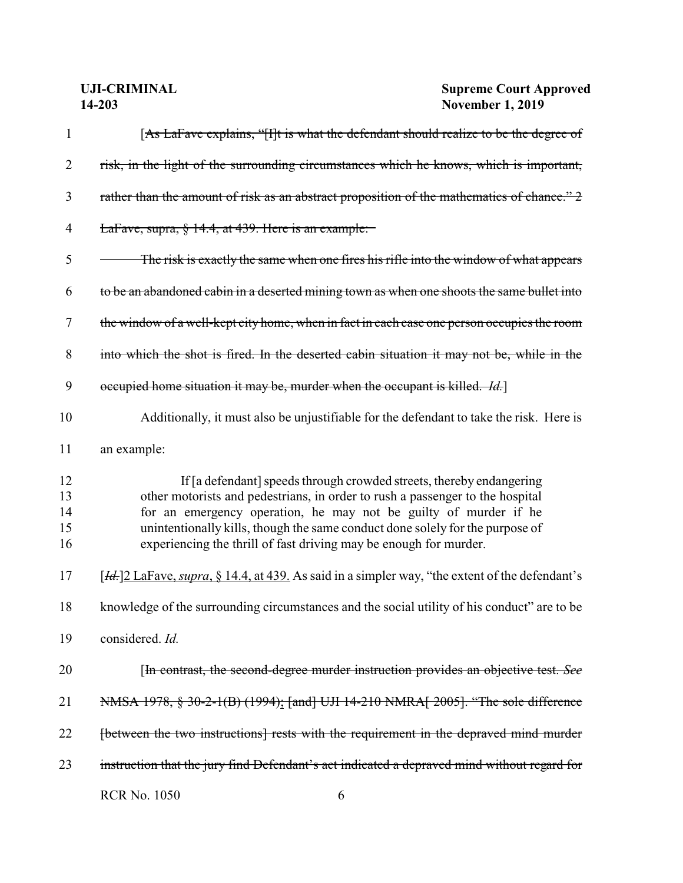| $\mathbf{1}$               | [As LaFave explains, "[I]t is what the defendant should realize to be the degree of                                                                                                                                                                                                                                                                                             |
|----------------------------|---------------------------------------------------------------------------------------------------------------------------------------------------------------------------------------------------------------------------------------------------------------------------------------------------------------------------------------------------------------------------------|
| $\overline{2}$             | risk, in the light of the surrounding circumstances which he knows, which is important,                                                                                                                                                                                                                                                                                         |
| 3                          | rather than the amount of risk as an abstract proposition of the mathematics of chance." 2                                                                                                                                                                                                                                                                                      |
| $\overline{4}$             | LaFave, supra, § 14.4, at 439. Here is an example:                                                                                                                                                                                                                                                                                                                              |
| 5                          | The risk is exactly the same when one fires his rifle into the window of what appears                                                                                                                                                                                                                                                                                           |
| 6                          | to be an abandoned cabin in a deserted mining town as when one shoots the same bullet into                                                                                                                                                                                                                                                                                      |
| 7                          | the window of a well-kept city home, when in fact in each case one person occupies the room                                                                                                                                                                                                                                                                                     |
| $8\,$                      | into which the shot is fired. In the deserted cabin situation it may not be, while in the                                                                                                                                                                                                                                                                                       |
| 9                          | occupied home situation it may be, murder when the occupant is killed. <i>Id.</i> ]                                                                                                                                                                                                                                                                                             |
| 10                         | Additionally, it must also be unjustifiable for the defendant to take the risk. Here is                                                                                                                                                                                                                                                                                         |
| 11                         | an example:                                                                                                                                                                                                                                                                                                                                                                     |
| 12<br>13<br>14<br>15<br>16 | If [a defendant] speeds through crowded streets, thereby endangering<br>other motorists and pedestrians, in order to rush a passenger to the hospital<br>for an emergency operation, he may not be guilty of murder if he<br>unintentionally kills, though the same conduct done solely for the purpose of<br>experiencing the thrill of fast driving may be enough for murder. |
| 17                         | [ <i>H</i> . ]2 LaFave, <i>supra</i> , § 14.4, at 439. As said in a simpler way, "the extent of the defendant's                                                                                                                                                                                                                                                                 |
| 18                         | knowledge of the surrounding circumstances and the social utility of his conduct" are to be                                                                                                                                                                                                                                                                                     |
| 19                         | considered. Id.                                                                                                                                                                                                                                                                                                                                                                 |
| 20                         | [In contrast, the second-degree murder instruction provides an objective test. See                                                                                                                                                                                                                                                                                              |
| 21                         | NMSA 1978, § 30-2-1(B) (1994); [and] UJI 14-210 NMRA[ 2005]. "The sole difference                                                                                                                                                                                                                                                                                               |
| 22                         | [between the two instructions] rests with the requirement in the depraved mind murder                                                                                                                                                                                                                                                                                           |
|                            |                                                                                                                                                                                                                                                                                                                                                                                 |
| 23                         | instruction that the jury find Defendant's act indicated a depraved mind without regard for                                                                                                                                                                                                                                                                                     |